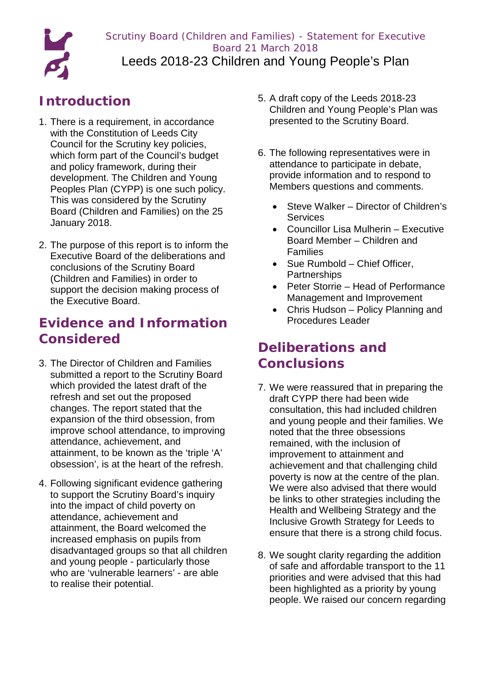Scrutiny Board (Children and Families) - Statement for Executive Board 21 March 2018 Leeds 2018-23 Children and Young People's Plan

## **Introduction**

o

- 1. There is a requirement, in accordance with the Constitution of Leeds City Council for the Scrutiny key policies, which form part of the Council's budget and policy framework, during their development. The Children and Young Peoples Plan (CYPP) is one such policy. This was considered by the Scrutiny Board (Children and Families) on the 25 January 2018.
- 2. The purpose of this report is to inform the Executive Board of the deliberations and conclusions of the Scrutiny Board (Children and Families) in order to support the decision making process of the Executive Board.

## **Evidence and Information Considered**

- 3. The Director of Children and Families submitted a report to the Scrutiny Board which provided the latest draft of the refresh and set out the proposed changes. The report stated that the expansion of the third obsession, from improve school attendance, to improving attendance, achievement, and attainment, to be known as the 'triple 'A' obsession', is at the heart of the refresh.
- 4. Following significant evidence gathering to support the Scrutiny Board's inquiry into the impact of child poverty on attendance, achievement and attainment, the Board welcomed the increased emphasis on pupils from disadvantaged groups so that all children and young people - particularly those who are 'vulnerable learners' - are able to realise their potential.
- 5. A draft copy of the Leeds 2018-23 Children and Young People's Plan was presented to the Scrutiny Board.
- 6. The following representatives were in attendance to participate in debate, provide information and to respond to Members questions and comments.
	- Steve Walker Director of Children's **Services**
	- Councillor Lisa Mulherin Executive Board Member – Children and Families
	- Sue Rumbold Chief Officer, **Partnerships**
	- Peter Storrie Head of Performance Management and Improvement
	- Chris Hudson Policy Planning and Procedures Leader

## **Deliberations and Conclusions**

- 7. We were reassured that in preparing the draft CYPP there had been wide consultation, this had included children and young people and their families. We noted that the three obsessions remained, with the inclusion of improvement to attainment and achievement and that challenging child poverty is now at the centre of the plan. We were also advised that there would be links to other strategies including the Health and Wellbeing Strategy and the Inclusive Growth Strategy for Leeds to ensure that there is a strong child focus.
- 8. We sought clarity regarding the addition of safe and affordable transport to the 11 priorities and were advised that this had been highlighted as a priority by young people. We raised our concern regarding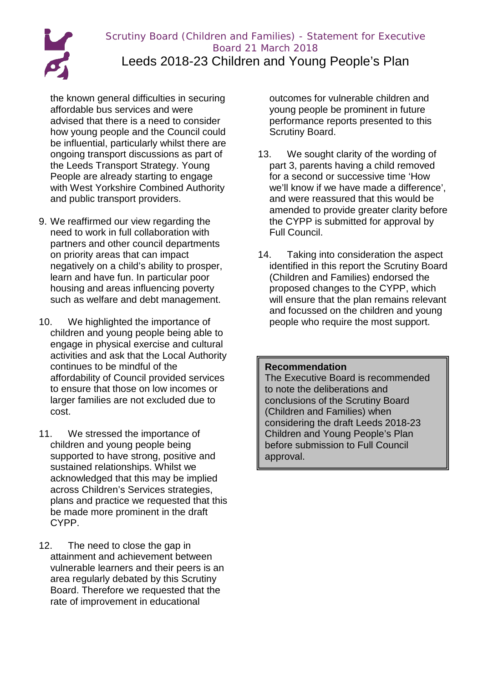Scrutiny Board (Children and Families) - Statement for Executive Board 21 March 2018 Leeds 2018-23 Children and Young People's Plan

the known general difficulties in securing affordable bus services and were advised that there is a need to consider how young people and the Council could be influential, particularly whilst there are ongoing transport discussions as part of the Leeds Transport Strategy. Young People are already starting to engage with West Yorkshire Combined Authority and public transport providers.

- 9. We reaffirmed our view regarding the need to work in full collaboration with partners and other council departments on priority areas that can impact negatively on a child's ability to prosper, learn and have fun. In particular poor housing and areas influencing poverty such as welfare and debt management.
- 10. We highlighted the importance of children and young people being able to engage in physical exercise and cultural activities and ask that the Local Authority continues to be mindful of the affordability of Council provided services to ensure that those on low incomes or larger families are not excluded due to cost.
- 11. We stressed the importance of children and young people being supported to have strong, positive and sustained relationships. Whilst we acknowledged that this may be implied across Children's Services strategies, plans and practice we requested that this be made more prominent in the draft CYPP.
- 12. The need to close the gap in attainment and achievement between vulnerable learners and their peers is an area regularly debated by this Scrutiny Board. Therefore we requested that the rate of improvement in educational

outcomes for vulnerable children and young people be prominent in future performance reports presented to this Scrutiny Board.

- 13. We sought clarity of the wording of part 3, parents having a child removed for a second or successive time 'How we'll know if we have made a difference', and were reassured that this would be amended to provide greater clarity before the CYPP is submitted for approval by Full Council.
- 14. Taking into consideration the aspect identified in this report the Scrutiny Board (Children and Families) endorsed the proposed changes to the CYPP, which will ensure that the plan remains relevant and focussed on the children and young people who require the most support.

## **Recommendation**

The Executive Board is recommended to note the deliberations and conclusions of the Scrutiny Board (Children and Families) when considering the draft Leeds 2018-23 Children and Young People's Plan before submission to Full Council approval.